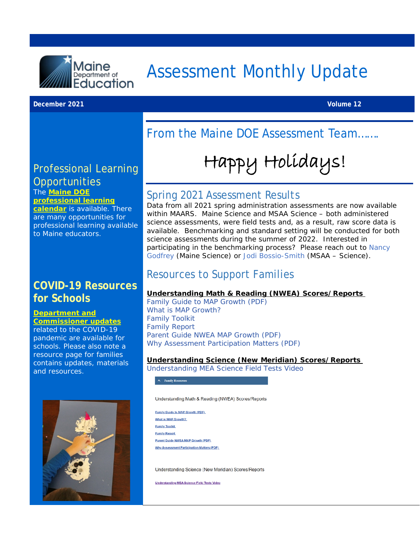

# Assessment Monthly Update

#### **December 2021 Volume 12**

# From the Maine DOE Assessment Team…….

# Happy Holidays!

#### Professional Learning **Opportunities** The **[Maine DOE](https://www.maine.gov/doe/calendar)**

**[professional learning](https://www.maine.gov/doe/calendar)** 

**[calendar](https://www.maine.gov/doe/calendar)** is available. There are many opportunities for professional learning available to Maine educators.

### **COVID-19 Resources for Schools**

**[Department and](https://www.maine.gov/doe/covid-19/toolkit)  [Commissioner updates](https://www.maine.gov/doe/covid-19/toolkit)**

related to the COVID-19 pandemic are available for schools. Please also note a resource page for families contains updates, materials and resources.



#### Spring 2021 Assessment Results

Data from all 2021 spring administration assessments are now available within MAARS. Maine Science and MSAA Science – both administered science assessments, were field tests and, as a result, raw score data is available. Benchmarking and standard setting will be conducted for both science assessments during the summer of 2022. Interested in participating in the benchmarking process? Please reach out to [Nancy](mailto:Nancy.Godfrey@maine.gov?subject=Benchmarking)  [Godfrey](mailto:Nancy.Godfrey@maine.gov?subject=Benchmarking) (Maine Science) or [Jodi Bossio-Smith](mailto:Jodi.Bossio-Smith@maine.gov?subject=Benchmarking) (MSAA – Science).

#### Resources to Support Families

#### **Understanding Math & Reading (NWEA) Scores/Reports**

[Family Guide to MAP Growth](https://www.maine.gov/doe/sites/maine.gov.doe/files/inline-files/Family%2BGuide%2Bto%2BMAP%2BGrowth.pdf) (PDF) [What is MAP Growth?](https://www.nwea.org/resource-center/resource/what-is-map-growth/) [Family Toolkit](https://www.nwea.org/the-map-suite/family-toolkit/) [Family Report](https://teach.mapnwea.org/impl/maphelp/Content/Data/SampleReports/FamilyReport.htm?Highlight=family%20report) [Parent Guide NWEA MAP Growth](https://www.maine.gov/doe/sites/maine.gov.doe/files/inline-files/Parent-Guide-NWEA-MAP-Growth.pdf) (PDF) [Why Assessment Participation Matters](https://www.maine.gov/doe/sites/maine.gov.doe/files/inline-files/Why%20Participation%20Matters-1_0.pdf) (PDF)

#### **Understanding Science (New Meridian) Scores/Reports**

[Understanding MEA Science Field Tests Video](https://www.maine.gov/doe/sites/maine.gov.doe/files/inline-files/Fall%2021_Science.mp4)

 $\land$  Family Resources

Understanding Math & Reading (NWEA) Scores/Reports

Family Guide to MAP Growth (PDF) What is MAP Growth? **Family Toolkit Family Report** Parent Guide NWEA MAP Growth (PDF) **Why Assessment Participation Matters (PDF)** 

Understanding Science (New Meridian) Scores/Reports

Understanding MEA Science Field Tests Video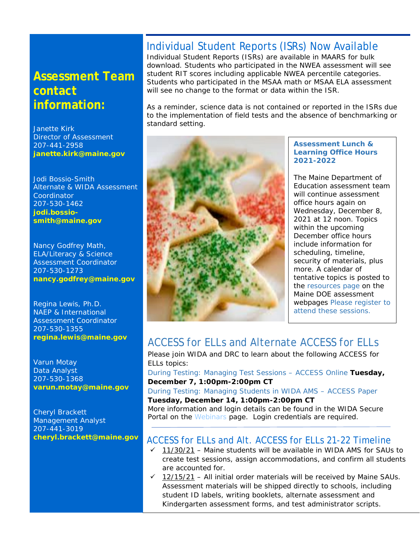# **Assessment Team contact information:**

Janette Kirk Director of Assessment 207-441-2958 **[janette.kirk@maine.gov](mailto:janette.kirk@maine.gov)**

Jodi Bossio-Smith Alternate & WIDA Assessment Coordinator 207-530-1462 **[jodi.bossio](mailto:jodi.bossio-smith@maine.gov)[smith@maine.gov](mailto:jodi.bossio-smith@maine.gov)**

Nancy Godfrey Math, ELA/Literacy & Science Assessment Coordinator 207-530-1273 **[nancy.godfrey@maine.gov](mailto:nancy.godfrey@maine.gov)**

Regina Lewis, Ph.D. NAEP & International Assessment Coordinator 207-530-1355 **[regina.lewis@maine.gov](mailto:regina.lewis@maine.gov)**

Varun Motay Data Analyst 207-530-1368 **[varun.motay@maine.gov](mailto:varun.motay@maine.gov)**

Cheryl Brackett Management Analyst 207-441-3019 **[cheryl.brackett@maine.gov](mailto:cheryl.brackett@maine.gov)**

### Individual Student Reports (ISRs) Now Available

Individual Student Reports (ISRs) are available in MAARS for bulk download. Students who participated in the NWEA assessment will see student RIT scores including applicable NWEA percentile categories. Students who participated in the MSAA math or MSAA ELA assessment will see no change to the format or data within the ISR.

As a reminder, science data is not contained or reported in the ISRs due to the implementation of field tests and the absence of benchmarking or standard setting.



#### **Assessment Lunch & Learning Office Hours 2021-2022**

The Maine Department of Education assessment team will continue assessment office hours again on Wednesday, December 8, 2021 at 12 noon. Topics within the upcoming December office hours include information for scheduling, timeline, security of materials, plus more. A calendar of tentative topics is posted to the [resources page](https://www.maine.gov/doe/Testing_Accountability/MECAS/supports) on the Maine DOE assessment webpages [Please register to](https://networkmaine.zoom.us/meeting/register/tZIucuirrz0tGtT4YUZDjXPbAEDZ-IaOCvlU)  [attend these sessions.](https://networkmaine.zoom.us/meeting/register/tZIucuirrz0tGtT4YUZDjXPbAEDZ-IaOCvlU)

#### ACCESS for ELLs and Alternate ACCESS for ELLs

Please join WIDA and DRC to learn about the following ACCESS for ELLs topics:

[During Testing: Managing Test](https://uwmadison.webex.com/mw3300/mywebex/default.do?nomenu=true&siteurl=uwmadison&service=6&rnd=0.4238709961184258&main_url=https%3A%2F%2Fuwmadison.webex.com%2Fec3300%2Feventcenter%2Fevent%2FeventAction.do%3FtheAction%3Ddetail%26%26%26EMK%3D4832534b00000005feaa8dce253b93d9bf653087767f3186eac003be5e1874fd9d6f8976d3ed9bc4%26siteurl%3Duwmadison%26confViewID%3D198575843129197533%26encryptTicket%3DSDJTSwAAAAX2pJJRIYAAWdF2zBS5jNWwXXBO7IMQjLXJ4ipA9g5_3Q2%26) Sessions – ACCESS Online **Tuesday, December 7, 1:00pm-2:00pm CT**

[During Testing: Managing Students in WIDA AMS –](https://uwmadison.webex.com/mw3300/mywebex/default.do?nomenu=true&siteurl=uwmadison&service=6&rnd=0.7796807961389902&main_url=https%3A%2F%2Fuwmadison.webex.com%2Fec3300%2Feventcenter%2Fevent%2FeventAction.do%3FtheAction%3Ddetail%26%26%26EMK%3D4832534b000000050f780620bf36d3418f2a41c334c0dc786882bb54c74080f16b243e2cd0e4e072%26siteurl%3Duwmadison%26confViewID%3D198576046937768128%26encryptTicket%3DSDJTSwAAAAVU5_bcAbQtwnMiGo93U0UMHTCfNEdUKYKZouo84ygZwg2%26) ACCESS Paper

**Tuesday, December 14, 1:00pm-2:00pm CT**

More information and login details can be found in the WIDA Secure Portal on the [Webinars](https://portal.wida.us/IDP/Account/Login?ReturnUrl=%2Fconnect%2Fauthorize%2Fcallback%3Fclient_id%3DSecurePortal2%26redirect_uri%3Dhttps%253A%252F%252Fportal.wida.us%252Fclient%252Fsignin-oidc%26response_type%3Dcode%26scope%3Dopenid%2520profile%2520wida_idp%26state%3D802e782db5a94b0cbfde454e2d84d78e%26code_challenge%3DqqNmLHI_gTbMZlC_0JWW_7OJInDr3H-ZV4eeobZMkd0%26code_challenge_method%3DS256%26response_mode%3Dquery) page. Login credentials are required.

#### ACCESS for ELLs and Alt. ACCESS for ELLs 21-22 Timeline

- $\checkmark$  11/30/21 Maine students will be available in WIDA AMS for SAUs to create test sessions, assign accommodations, and confirm all students are accounted for.
- $\checkmark$  12/15/21 All initial order materials will be received by Maine SAUs. Assessment materials will be shipped directly to schools, including student ID labels, writing booklets, alternate assessment and Kindergarten assessment forms, and test administrator scripts.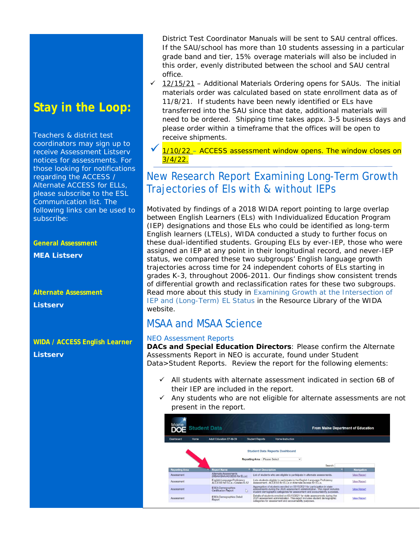# **Stay in the Loop:**

Teachers & district test coordinators may sign up to receive Assessment Listserv notices for assessments. For those looking for notifications regarding the ACCESS / Alternate ACCESS for ELLs, please subscribe to the ESL Communication list. The following links can be used to subscribe:

**General Assessment** 

**MEA Listserv** 

**Alternate Assessment** 

**Listserv** 

**WIDA / ACCESS English Learner Listserv**

District Test Coordinator Manuals will be sent to SAU central offices. If the SAU/school has more than 10 students assessing in a particular grade band and tier, 15% overage materials will also be included in this order, evenly distributed between the school and SAU central office.

- $\checkmark$  12/15/21 Additional Materials Ordering opens for SAUs. The initial materials order was calculated based on state enrollment data as of 11/8/21. If students have been newly identified or ELs have transferred into the SAU since that date, additional materials will need to be ordered. Shipping time takes appx. 3-5 business days and please order within a timeframe that the offices will be open to receive shipments.
- 1/10/22 ACCESS assessment window opens. The window closes on  $3/4/22$ .

# New Research Report Examining Long-Term Growth Trajectories of Els with & without IEPs

Motivated by findings of a 2018 WIDA report pointing to large overlap between English Learners (ELs) with Individualized Education Program (IEP) designations and those ELs who could be identified as long-term English learners (LTELs), WIDA conducted a study to further focus on these dual-identified students. Grouping ELs by ever-IEP, those who were assigned an IEP at any point in their longitudinal record, and never-IEP status, we compared these two subgroups' English language growth trajectories across time for 24 independent cohorts of ELs starting in grades K-3, throughout 2006-2011. Our findings show consistent trends of differential growth and reclassification rates for these two subgroups. Read more about this study in [Examining Growth at the Intersection of](https://wida.wisc.edu/resources/examining-growth-intersection-iep-and-long-term-el-status?utm_source=CR-WW111721&utm_medium=email&utm_campaign=WIDAWednesday&utm_content=ExaminingGrowthIEPELStatus)  IEP [and \(Long-Term\) EL Status](https://wida.wisc.edu/resources/examining-growth-intersection-iep-and-long-term-el-status?utm_source=CR-WW111721&utm_medium=email&utm_campaign=WIDAWednesday&utm_content=ExaminingGrowthIEPELStatus) in the Resource Library of the WIDA website.

#### MSAA and MSAA Science

#### NEO Assessment Reports

**DACs and Special Education Directors**: Please confirm the Alternate Assessments Report in NEO is accurate, found under Student Data>Student Reports. Review the report for the following elements:

- $\checkmark$  All students with alternate assessment indicated in section 6B of their IEP are included in the report.
- $\checkmark$  Any students who are not eligible for alternate assessments are not present in the report.

| Maine                 | <b>DOE</b> Student Data                                                                     |                                                                                                                                                                                                                                        | <b>From Maine Department of Education</b>    |  |
|-----------------------|---------------------------------------------------------------------------------------------|----------------------------------------------------------------------------------------------------------------------------------------------------------------------------------------------------------------------------------------|----------------------------------------------|--|
| Dashboard             | <b>Adult Education EF-M-39</b><br>Home                                                      | <b>Student Reports</b><br><b>Home Instruction</b>                                                                                                                                                                                      |                                              |  |
| <b>Reporting Area</b> | <b>Report Name</b>                                                                          | <b>Student Data Reports Dashboard</b><br><b>Reporting Area : Please Select</b><br><b>Report Description</b>                                                                                                                            | $\checkmark$<br>Search:<br><b>Navigation</b> |  |
| Assessment            | Alternate Assessments                                                                       | List of students who are eligible to participate in alternate assessments.                                                                                                                                                             | <b>View Report</b>                           |  |
| Assessment            | (MSAA/SAA/ACCESS for ELLs)<br>English Language Proficiency<br>ACCESS for ELLs - Grades K-12 | Lists students eligible to participate in the English Language Proficiency<br>Assessment - ACCESS for ELLs or Alternate Access for ELLs                                                                                                | <b>View Report</b>                           |  |
| Assessment            | <b>ESEA Demographics</b><br>S.<br><b>Certification Report</b>                               | Aggregation of students enrolled on 05/15/2021 for participation in state<br>assessments during the 2020 assessment administration. This report includes<br>student demographic categories for assessment and accountability purposes. | <b>View Report</b>                           |  |
| Assessment            | <b>ESEA Demographics Detail</b><br>Report                                                   | Details of students enrolled on 05/15/2021 for state assessments during the 2021 assessment administration. This report includes student demographic<br>categories for assessment and accountability purposes.                         | <b>View Report</b>                           |  |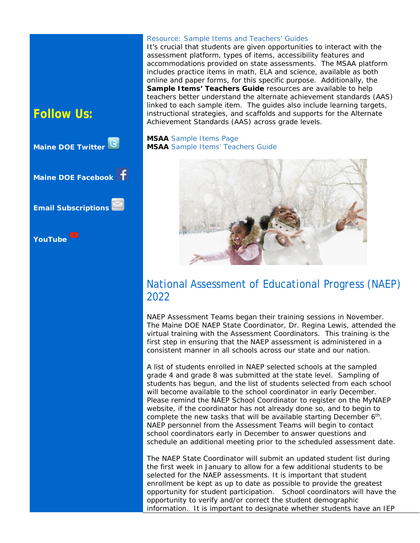# **Follow Us:**



#### Resource: Sample Items and Teachers' Guides

It's crucial that students are given opportunities to interact with the assessment platform, types of items, accessibility features and accommodations provided on state assessments. The MSAA platform includes practice items in math, ELA and science, available as both online and paper forms, for this specific purpose. Additionally, the **Sample Items' Teachers Guide** resources are available to help teachers better understand the alternate achievement standards (AAS) linked to each sample item. The guides also include learning targets, instructional strategies, and scaffolds and supports for the Alternate Achievement Standards (AAS) across grade levels.

**MSAA** [Sample Items Page](https://www.msaaassessment.org/tap/sample-items) **MSAA** [Sample Items' Teachers Guide](https://www.msaaassessment.org/tap/sample-items/teacher-guides)



#### National Assessment of Educational Progress (NAEP) 2022

NAEP Assessment Teams began their training sessions in November. The Maine DOE NAEP State Coordinator, Dr. Regina Lewis, attended the virtual training with the Assessment Coordinators. This training is the first step in ensuring that the NAEP assessment is administered in a consistent manner in all schools across our state and our nation.

A list of students enrolled in NAEP selected schools at the sampled grade 4 and grade 8 was submitted at the state level. Sampling of students has begun, and the list of students selected from each school will become available to the school coordinator in early December. Please remind the NAEP School Coordinator to register on the MyNAEP website, if the coordinator has not already done so, and to begin to complete the new tasks that will be available starting December 6<sup>th</sup>. NAEP personnel from the Assessment Teams will begin to contact school coordinators early in December to answer questions and schedule an additional meeting prior to the scheduled assessment date.

The NAEP State Coordinator will submit an updated student list during the first week in January to allow for a few additional students to be selected for the NAEP assessments. It is important that student enrollment be kept as up to date as possible to provide the greatest opportunity for student participation. School coordinators will have the opportunity to verify and/or correct the student demographic information. It is important to designate whether students have an IEP